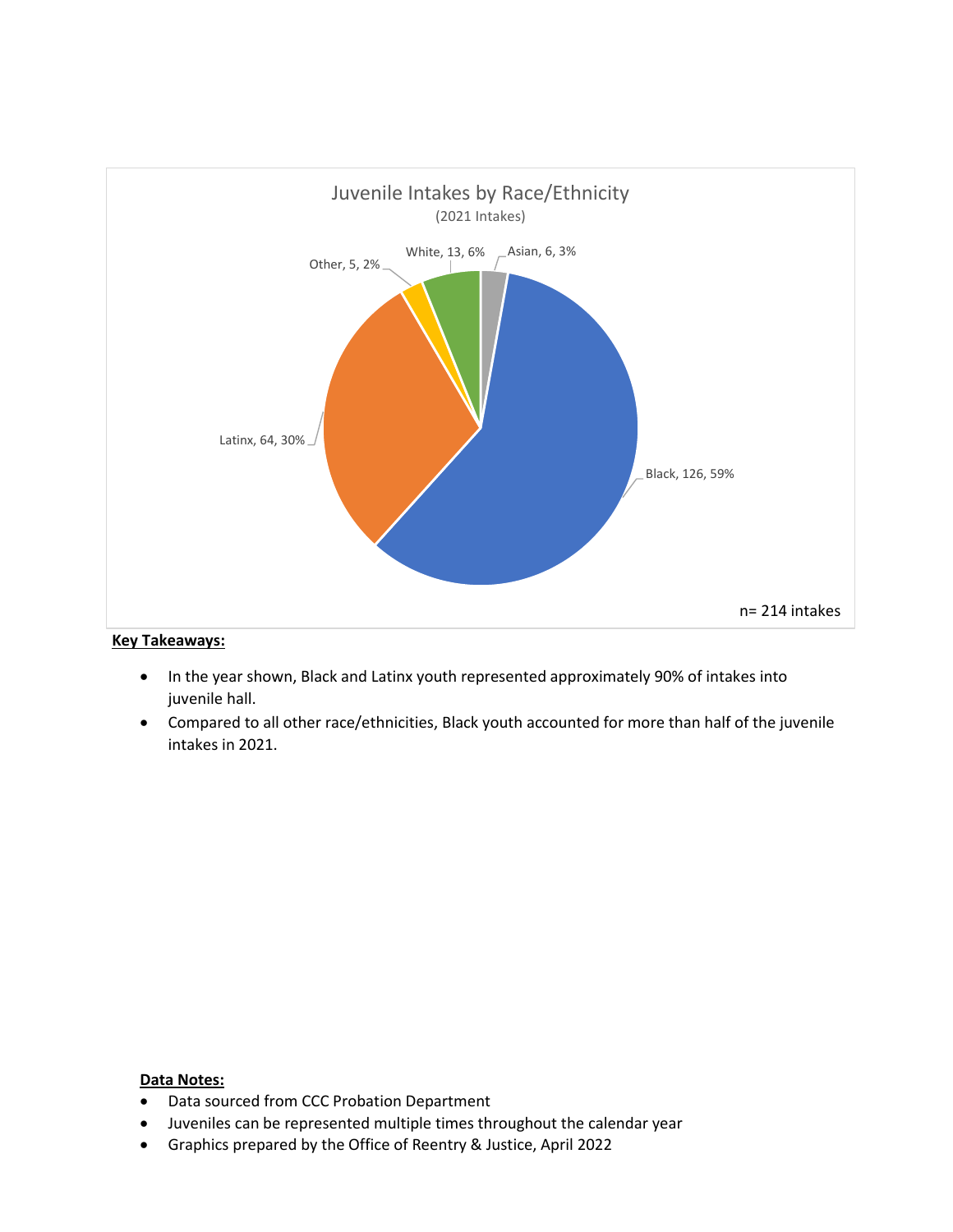

- In the year shown, Black and Latinx youth represented approximately 90% of intakes into juvenile hall.
- Compared to all other race/ethnicities, Black youth accounted for more than half of the juvenile intakes in 2021.

- Data sourced from CCC Probation Department
- Juveniles can be represented multiple times throughout the calendar year
- Graphics prepared by the Office of Reentry & Justice, April 2022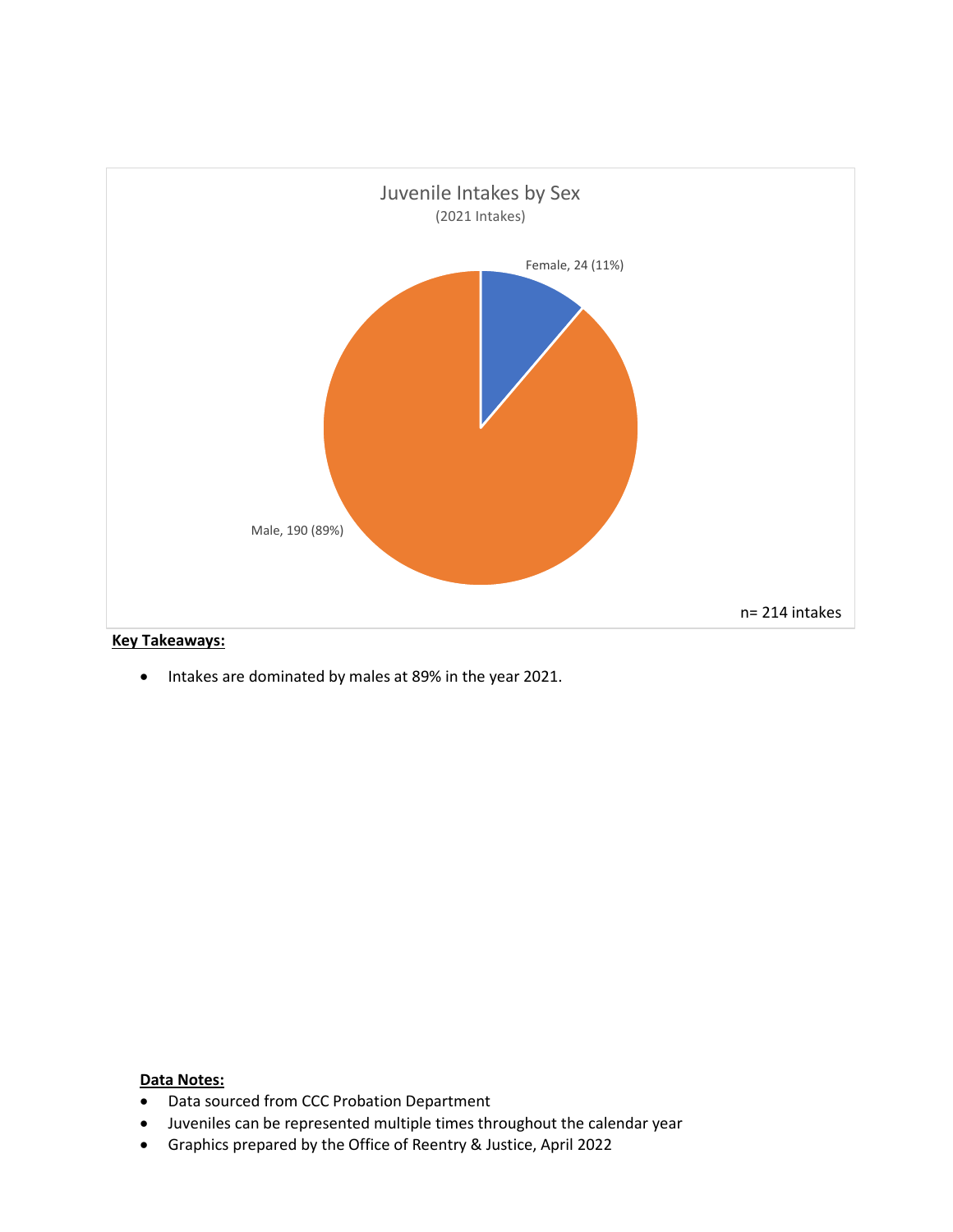

• Intakes are dominated by males at 89% in the year 2021.

- Data sourced from CCC Probation Department
- Juveniles can be represented multiple times throughout the calendar year
- Graphics prepared by the Office of Reentry & Justice, April 2022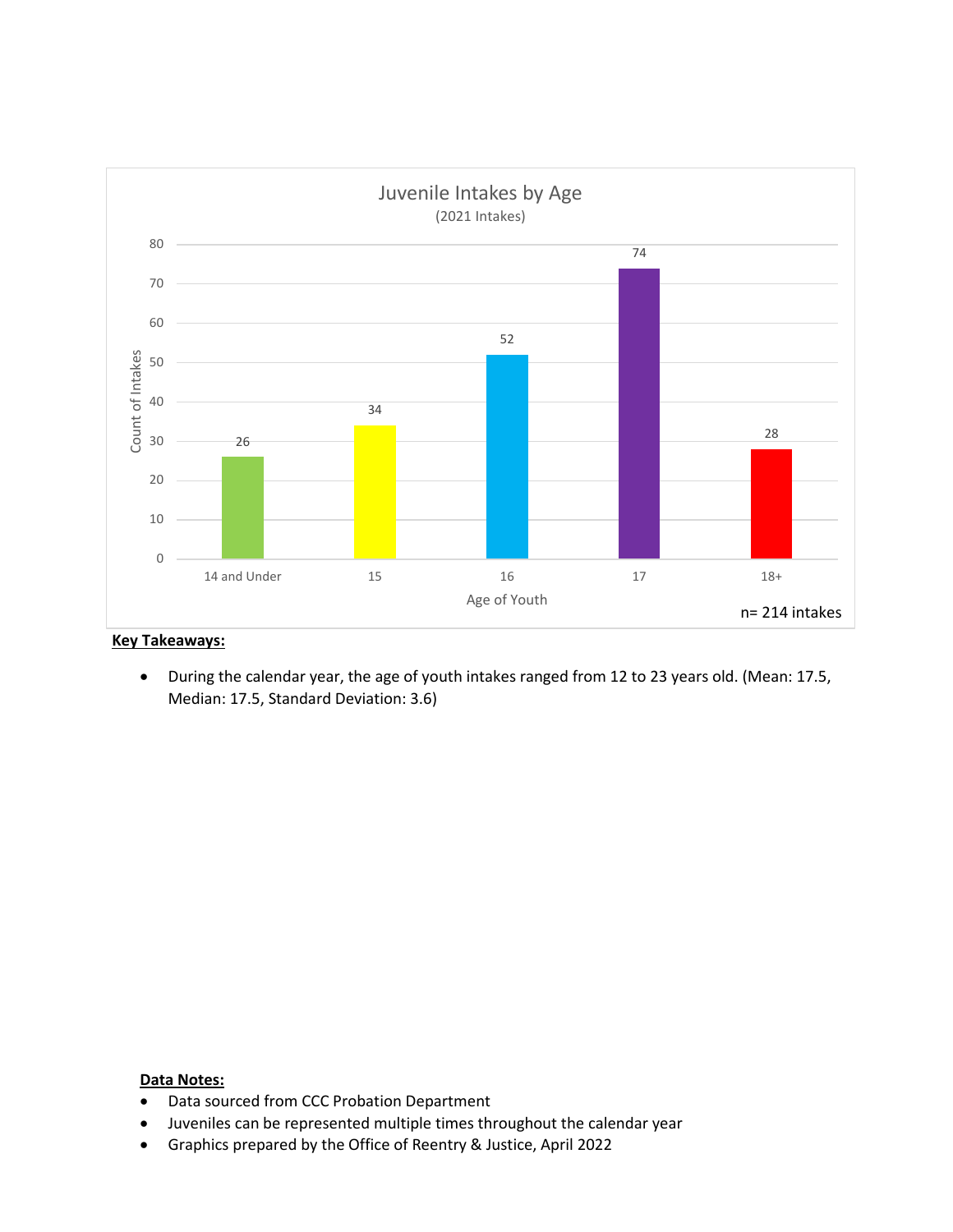

• During the calendar year, the age of youth intakes ranged from 12 to 23 years old. (Mean: 17.5, Median: 17.5, Standard Deviation: 3.6)

- Data sourced from CCC Probation Department
- Juveniles can be represented multiple times throughout the calendar year
- Graphics prepared by the Office of Reentry & Justice, April 2022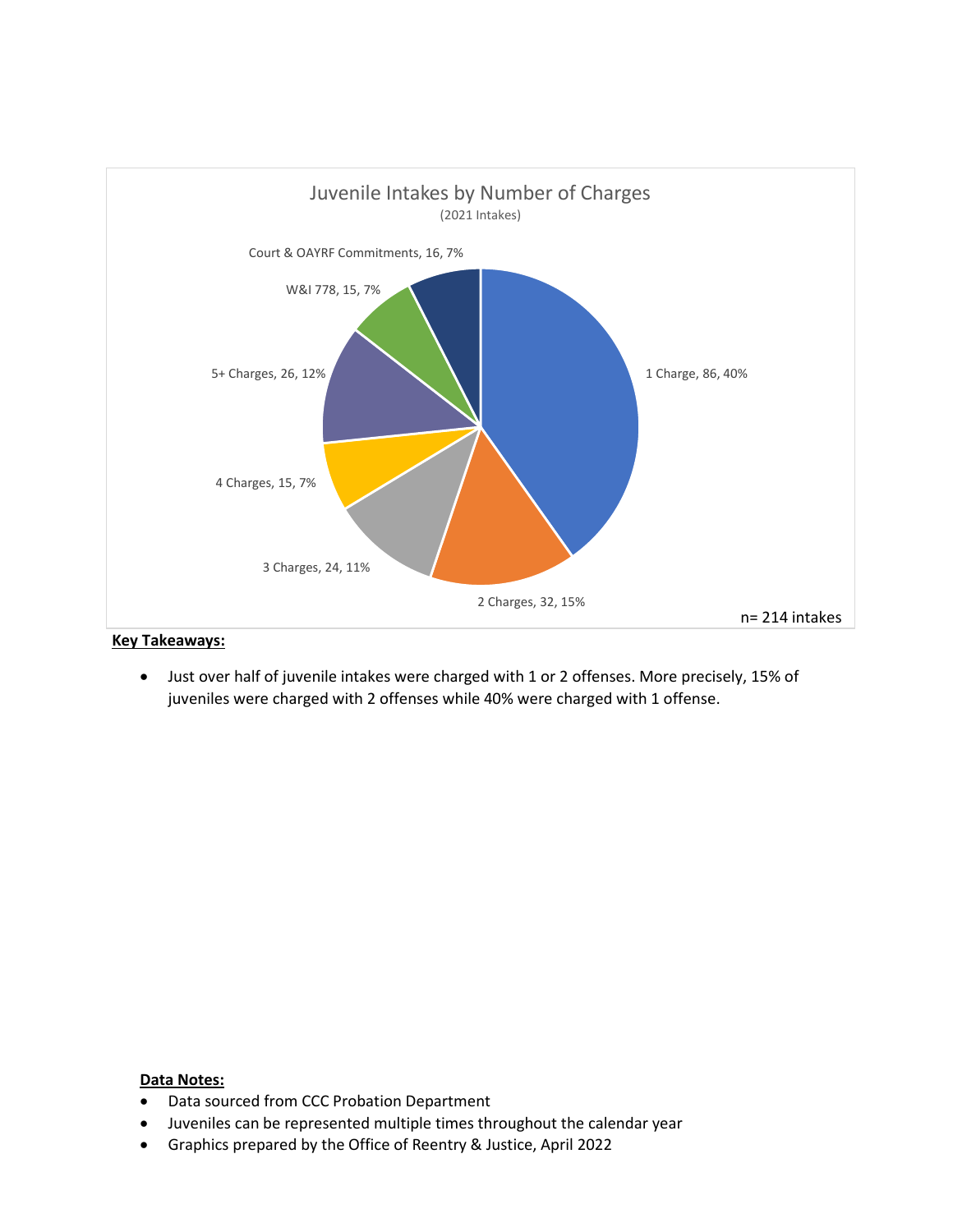

• Just over half of juvenile intakes were charged with 1 or 2 offenses. More precisely, 15% of juveniles were charged with 2 offenses while 40% were charged with 1 offense.

- Data sourced from CCC Probation Department
- Juveniles can be represented multiple times throughout the calendar year
- Graphics prepared by the Office of Reentry & Justice, April 2022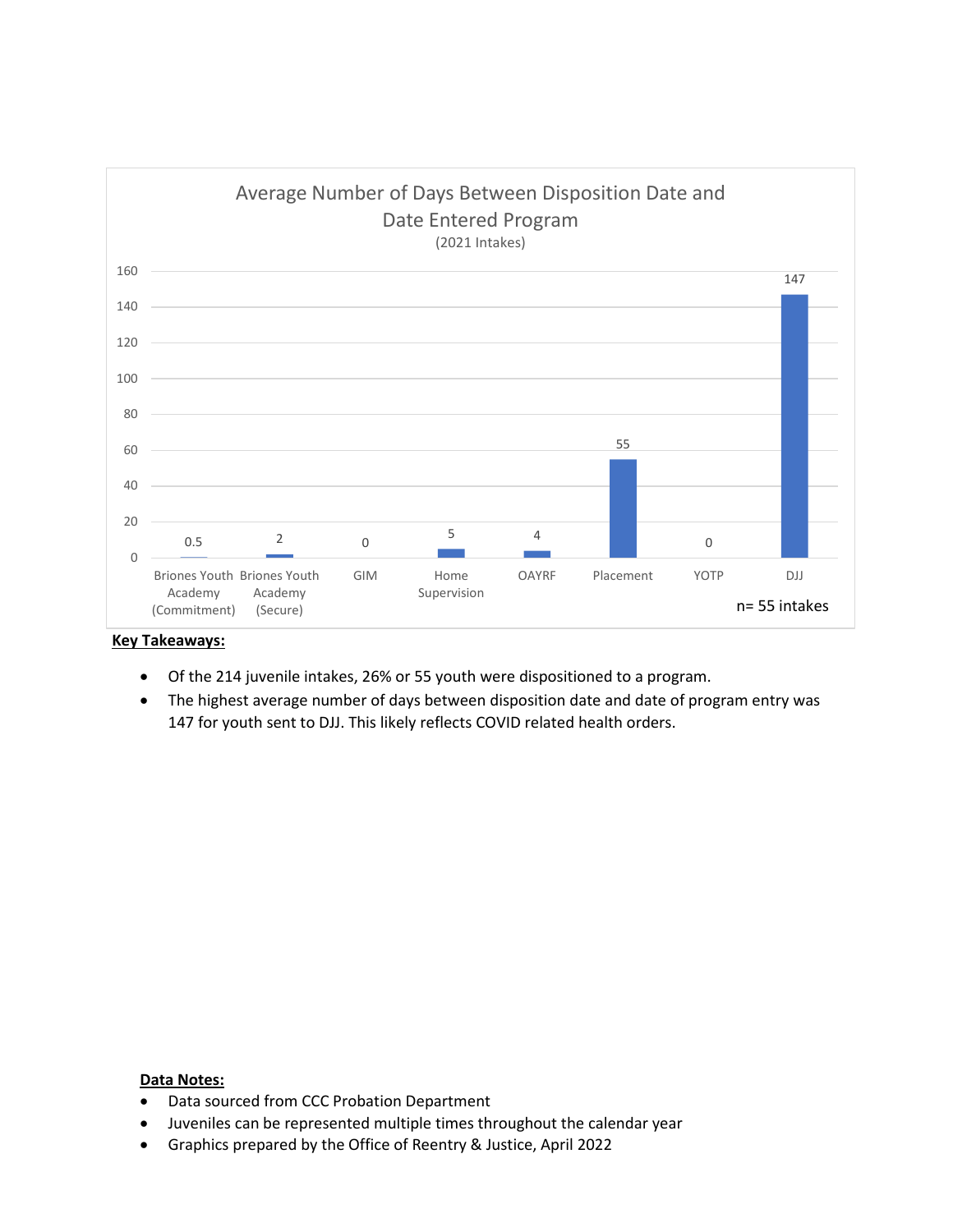

- Of the 214 juvenile intakes, 26% or 55 youth were dispositioned to a program.
- The highest average number of days between disposition date and date of program entry was 147 for youth sent to DJJ. This likely reflects COVID related health orders.

- Data sourced from CCC Probation Department
- Juveniles can be represented multiple times throughout the calendar year
- Graphics prepared by the Office of Reentry & Justice, April 2022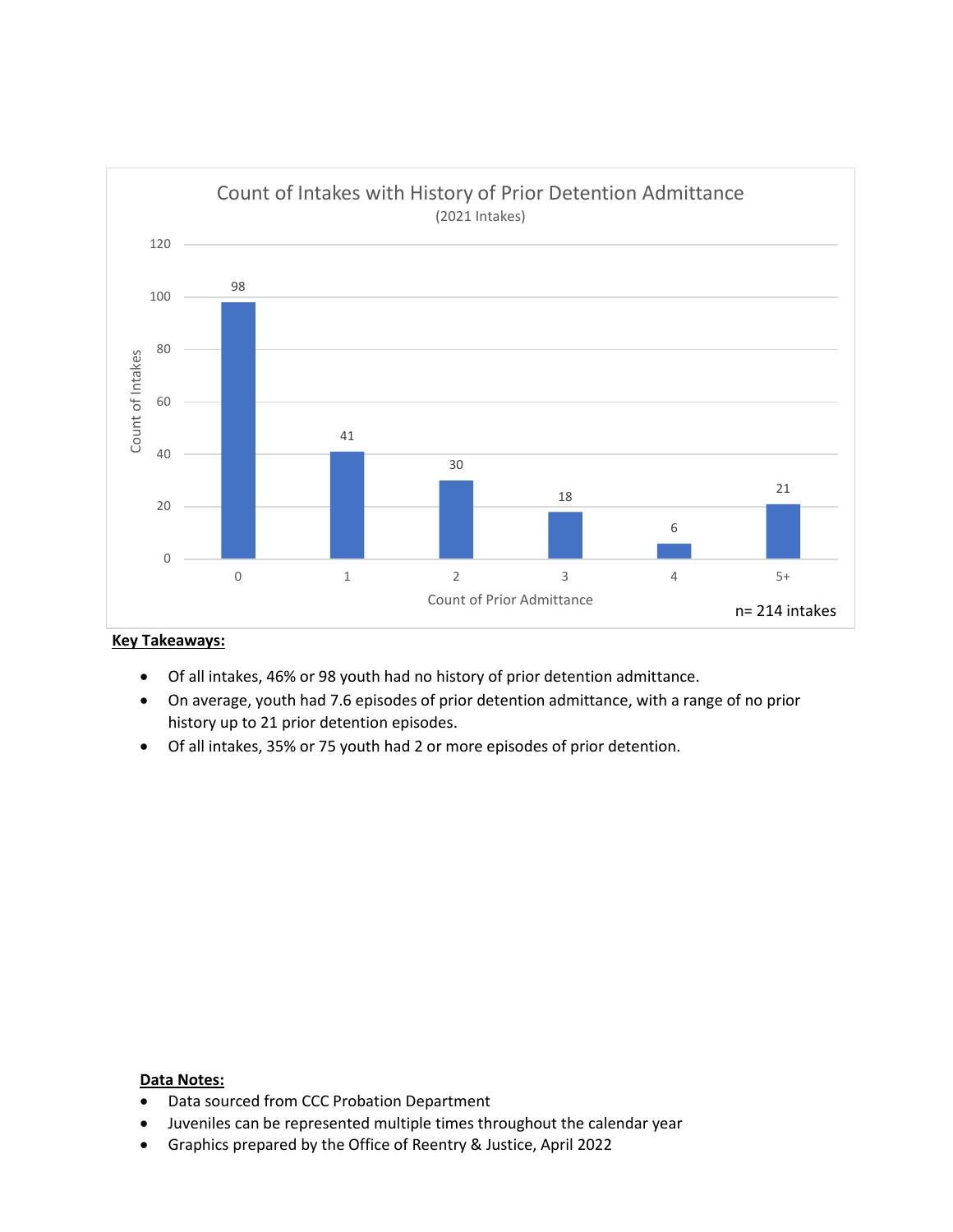

- Of all intakes, 46% or 98 youth had no history of prior detention admittance.
- On average, youth had 7.6 episodes of prior detention admittance, with a range of no prior history up to 21 prior detention episodes.
- Of all intakes, 35% or 75 youth had 2 or more episodes of prior detention.

- Data sourced from CCC Probation Department
- Juveniles can be represented multiple times throughout the calendar year
- Graphics prepared by the Office of Reentry & Justice, April 2022